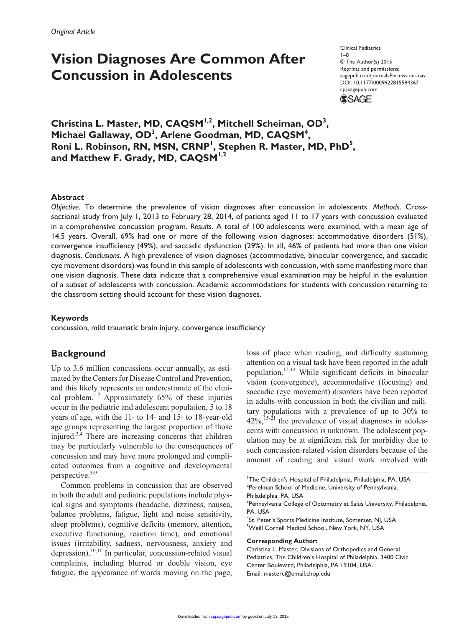# **Vision Diagnoses Are Common After Concussion in Adolescents**

Clinical Pediatrics 1–8 © The Author(s) 2015 Reprints and permissions: sagepub.com/journalsPermissions.nav DOI: 10.1177/0009922815594367 cpj.sagepub.com



**Christina L. Master, MD, CAQSM1,2, Mitchell Scheiman, OD3 ,**  Michael Gallaway, OD<sup>3</sup>, Arlene Goodman, MD, CAQSM<sup>4</sup>, Roni L. Robinson, RN, MSN, CRNP<sup>1</sup>, Stephen R. Master, MD, PhD<sup>5</sup>, and Matthew F. Grady, MD, CAQSM<sup>1,2</sup>

## **Abstract**

*Objective*. To determine the prevalence of vision diagnoses after concussion in adolescents. *Methods*. Crosssectional study from July 1, 2013 to February 28, 2014, of patients aged 11 to 17 years with concussion evaluated in a comprehensive concussion program. *Results*. A total of 100 adolescents were examined, with a mean age of 14.5 years. Overall, 69% had one or more of the following vision diagnoses: accommodative disorders (51%), convergence insufficiency (49%), and saccadic dysfunction (29%). In all, 46% of patients had more than one vision diagnosis. *Conclusions*. A high prevalence of vision diagnoses (accommodative, binocular convergence, and saccadic eye movement disorders) was found in this sample of adolescents with concussion, with some manifesting more than one vision diagnosis. These data indicate that a comprehensive visual examination may be helpful in the evaluation of a subset of adolescents with concussion. Academic accommodations for students with concussion returning to the classroom setting should account for these vision diagnoses.

### **Keywords**

concussion, mild traumatic brain injury, convergence insufficiency

## **Background**

Up to 3.6 million concussions occur annually, as estimated by the Centers for Disease Control and Prevention, and this likely represents an underestimate of the clinical problem.<sup>1,2</sup> Approximately  $65%$  of these injuries occur in the pediatric and adolescent population, 5 to 18 years of age, with the 11- to 14- and 15- to 18-year-old age groups representing the largest proportion of those injured. $3,4$  There are increasing concerns that children may be particularly vulnerable to the consequences of concussion and may have more prolonged and complicated outcomes from a cognitive and developmental perspective.<sup>5-9</sup>

Common problems in concussion that are observed in both the adult and pediatric populations include physical signs and symptoms (headache, dizziness, nausea, balance problems, fatigue, light and noise sensitivity, sleep problems), cognitive deficits (memory, attention, executive functioning, reaction time), and emotional issues (irritability, sadness, nervousness, anxiety and depression).<sup>10,11</sup> In particular, concussion-related visual complaints, including blurred or double vision, eye fatigue, the appearance of words moving on the page,

loss of place when reading, and difficulty sustaining attention on a visual task have been reported in the adult population.12-14 While significant deficits in binocular vision (convergence), accommodative (focusing) and saccadic (eye movement) disorders have been reported in adults with concussion in both the civilian and military populations with a prevalence of up to 30% to  $42\%,$ <sup>15-21</sup> the prevalence of visual diagnoses in adolescents with concussion is unknown. The adolescent population may be at significant risk for morbidity due to such concussion-related vision disorders because of the amount of reading and visual work involved with

## **Corresponding Author:**

Christina L. Master, Divisions of Orthopedics and General Pediatrics, The Children's Hospital of Philadelphia, 3400 Civic Center Boulevard, Philadelphia, PA 19104, USA. Email: [masterc@email.chop.edu](mailto:masterc@email.chop.edu)

<sup>&</sup>lt;sup>1</sup>The Children's Hospital of Philadelphia, Philadelphia, PA, USA <sup>2</sup>Perelman School of Medicine, University of Pennsylvania, Philadelphia, PA, USA

<sup>&</sup>lt;sup>3</sup>Pennsylvania College of Optometry at Salus University, Philadelphia, PA, USA

<sup>4</sup> St. Peter's Sports Medicine Institute, Somerset, NJ, USA <sup>5</sup>Weill Cornell Medical School, New York, NY, USA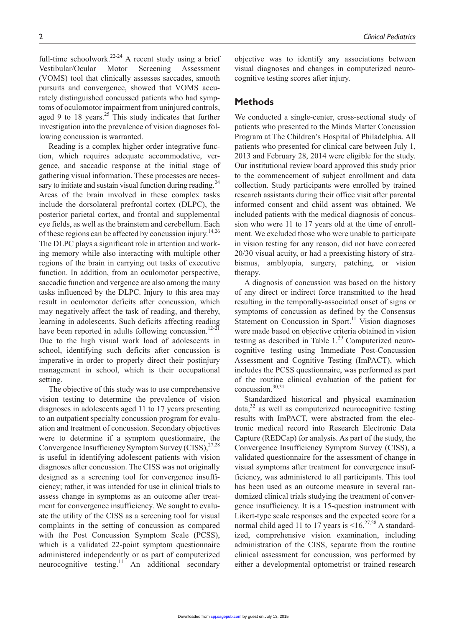full-time schoolwork.<sup>22-24</sup> A recent study using a brief Vestibular/Ocular Motor Screening Assessment (VOMS) tool that clinically assesses saccades, smooth pursuits and convergence, showed that VOMS accurately distinguished concussed patients who had symptoms of oculomotor impairment from uninjured controls, aged 9 to 18 years.<sup>25</sup> This study indicates that further investigation into the prevalence of vision diagnoses following concussion is warranted.

Reading is a complex higher order integrative function, which requires adequate accommodative, vergence, and saccadic response at the initial stage of gathering visual information. These processes are necessary to initiate and sustain visual function during reading. $^{24}$ Areas of the brain involved in these complex tasks include the dorsolateral prefrontal cortex (DLPC), the posterior parietal cortex, and frontal and supplemental eye fields, as well as the brainstem and cerebellum. Each of these regions can be affected by concussion injury.<sup>14,26</sup> The DLPC plays a significant role in attention and working memory while also interacting with multiple other regions of the brain in carrying out tasks of executive function. In addition, from an oculomotor perspective, saccadic function and vergence are also among the many tasks influenced by the DLPC. Injury to this area may result in oculomotor deficits after concussion, which may negatively affect the task of reading, and thereby, learning in adolescents. Such deficits affecting reading have been reported in adults following concussion.<sup>12-21</sup> Due to the high visual work load of adolescents in school, identifying such deficits after concussion is imperative in order to properly direct their postinjury management in school, which is their occupational setting.

The objective of this study was to use comprehensive vision testing to determine the prevalence of vision diagnoses in adolescents aged 11 to 17 years presenting to an outpatient specialty concussion program for evaluation and treatment of concussion. Secondary objectives were to determine if a symptom questionnaire, the Convergence Insufficiency Symptom Survey (CISS), $^{27,28}$ is useful in identifying adolescent patients with vision diagnoses after concussion. The CISS was not originally designed as a screening tool for convergence insufficiency; rather, it was intended for use in clinical trials to assess change in symptoms as an outcome after treatment for convergence insufficiency. We sought to evaluate the utility of the CISS as a screening tool for visual complaints in the setting of concussion as compared with the Post Concussion Symptom Scale (PCSS), which is a validated 22-point symptom questionnaire administered independently or as part of computerized neurocognitive testing.<sup>11</sup> An additional secondary

objective was to identify any associations between visual diagnoses and changes in computerized neuro-

## **Methods**

cognitive testing scores after injury.

We conducted a single-center, cross-sectional study of patients who presented to the Minds Matter Concussion Program at The Children's Hospital of Philadelphia. All patients who presented for clinical care between July 1, 2013 and February 28, 2014 were eligible for the study. Our institutional review board approved this study prior to the commencement of subject enrollment and data collection. Study participants were enrolled by trained research assistants during their office visit after parental informed consent and child assent was obtained. We included patients with the medical diagnosis of concussion who were 11 to 17 years old at the time of enrollment. We excluded those who were unable to participate in vision testing for any reason, did not have corrected 20/30 visual acuity, or had a preexisting history of strabismus, amblyopia, surgery, patching, or vision therapy.

A diagnosis of concussion was based on the history of any direct or indirect force transmitted to the head resulting in the temporally-associated onset of signs or symptoms of concussion as defined by the Consensus Statement on Concussion in Sport.<sup>11</sup> Vision diagnoses were made based on objective criteria obtained in vision testing as described in Table  $1.^{29}$  Computerized neurocognitive testing using Immediate Post-Concussion Assessment and Cognitive Testing (ImPACT), which includes the PCSS questionnaire, was performed as part of the routine clinical evaluation of the patient for concussion.30,31

Standardized historical and physical examination  $data<sub>32</sub>$  as well as computerized neurocognitive testing results with ImPACT, were abstracted from the electronic medical record into Research Electronic Data Capture (REDCap) for analysis. As part of the study, the Convergence Insufficiency Symptom Survey (CISS), a validated questionnaire for the assessment of change in visual symptoms after treatment for convergence insufficiency, was administered to all participants. This tool has been used as an outcome measure in several randomized clinical trials studying the treatment of convergence insufficiency. It is a 15-question instrument with Likert-type scale responses and the expected score for a normal child aged 11 to 17 years is  $\leq 16$ .<sup>27,28</sup> A standardized, comprehensive vision examination, including administration of the CISS, separate from the routine clinical assessment for concussion, was performed by either a developmental optometrist or trained research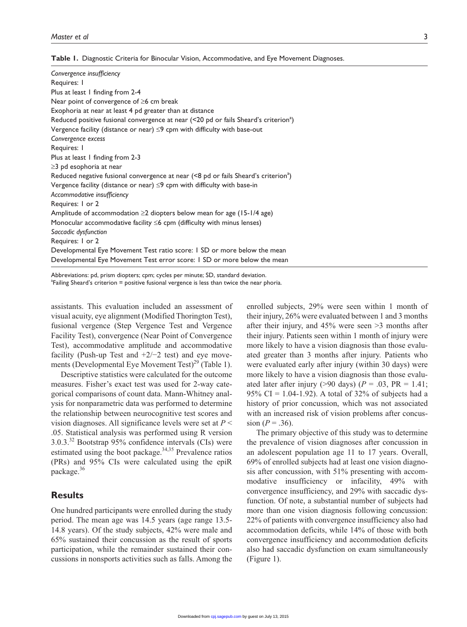| Convergence insufficiency                                                                        |
|--------------------------------------------------------------------------------------------------|
| Requires: I                                                                                      |
| Plus at least 1 finding from 2-4                                                                 |
| Near point of convergence of $\geq 6$ cm break                                                   |
| Exophoria at near at least 4 pd greater than at distance                                         |
| Reduced positive fusional convergence at near (<20 pd or fails Sheard's criterion <sup>a</sup> ) |
| Vergence facility (distance or near) $\leq$ 9 cpm with difficulty with base-out                  |
| Convergence excess                                                                               |
| Requires: I                                                                                      |
| Plus at least 1 finding from 2-3                                                                 |
| $\geq$ 3 pd esophoria at near                                                                    |
| Reduced negative fusional convergence at near (<8 pd or fails Sheard's criterion <sup>a</sup> )  |
| Vergence facility (distance or near) $\leq$ 9 cpm with difficulty with base-in                   |
| Accommodative insufficiency                                                                      |
| Requires: I or 2                                                                                 |
| Amplitude of accommodation $\geq$ 2 diopters below mean for age (15-1/4 age)                     |
| Monocular accommodative facility $\leq 6$ cpm (difficulty with minus lenses)                     |
| Saccadic dysfunction                                                                             |
| Requires: I or 2                                                                                 |
| Developmental Eye Movement Test ratio score: I SD or more below the mean                         |
| Developmental Eye Movement Test error score: I SD or more below the mean                         |

Abbreviations: pd, prism diopters; cpm; cycles per minute; SD, standard deviation. <sup>a</sup>Failing Sheard's criterion = positive fusional vergence is less than twice the near phoria.

assistants. This evaluation included an assessment of visual acuity, eye alignment (Modified Thorington Test), fusional vergence (Step Vergence Test and Vergence Facility Test), convergence (Near Point of Convergence Test), accommodative amplitude and accommodative facility (Push-up Test and  $+2/-2$  test) and eye movements (Developmental Eye Movement Test) $^{29}$  (Table 1).

Descriptive statistics were calculated for the outcome measures. Fisher's exact test was used for 2-way categorical comparisons of count data. Mann-Whitney analysis for nonparametric data was performed to determine the relationship between neurocognitive test scores and vision diagnoses. All significance levels were set at *P* < .05. Statistical analysis was performed using R version  $3.0.3<sup>32</sup>$  Bootstrap 95% confidence intervals (CIs) were estimated using the boot package. $34,35$  Prevalence ratios (PRs) and 95% CIs were calculated using the epiR package.<sup>36</sup>

# **Results**

One hundred participants were enrolled during the study period. The mean age was 14.5 years (age range 13.5- 14.8 years). Of the study subjects, 42% were male and 65% sustained their concussion as the result of sports participation, while the remainder sustained their concussions in nonsports activities such as falls. Among the

enrolled subjects, 29% were seen within 1 month of their injury, 26% were evaluated between 1 and 3 months after their injury, and 45% were seen >3 months after their injury. Patients seen within 1 month of injury were more likely to have a vision diagnosis than those evaluated greater than 3 months after injury. Patients who were evaluated early after injury (within 30 days) were more likely to have a vision diagnosis than those evaluated later after injury (>90 days) ( $P = .03$ ,  $PR = 1.41$ ; 95% CI = 1.04-1.92). A total of 32% of subjects had a history of prior concussion, which was not associated with an increased risk of vision problems after concussion (*P* = .36).

The primary objective of this study was to determine the prevalence of vision diagnoses after concussion in an adolescent population age 11 to 17 years. Overall, 69% of enrolled subjects had at least one vision diagnosis after concussion, with 51% presenting with accommodative insufficiency or infacility, 49% with convergence insufficiency, and 29% with saccadic dysfunction. Of note, a substantial number of subjects had more than one vision diagnosis following concussion: 22% of patients with convergence insufficiency also had accommodation deficits, while 14% of those with both convergence insufficiency and accommodation deficits also had saccadic dysfunction on exam simultaneously (Figure 1).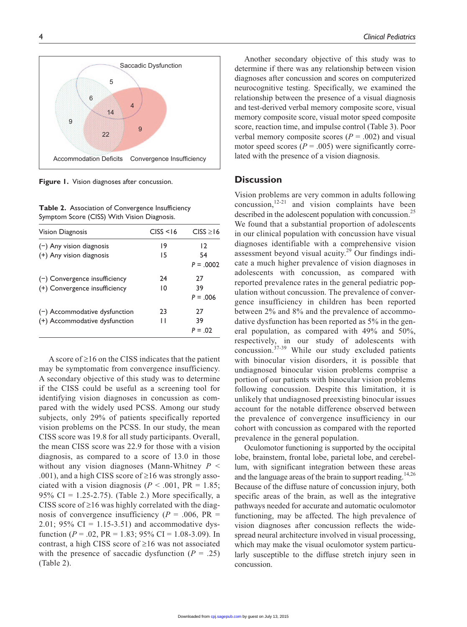

**Figure 1.** Vision diagnoses after concussion.

**Table 2.** Association of Convergence Insufficiency Symptom Score (CISS) With Vision Diagnosis.

| <b>Vision Diagnosis</b>         | CISS < 16 | CISS > 16    |
|---------------------------------|-----------|--------------|
| $(-)$ Any vision diagnosis      | 19        | 12           |
| (+) Any vision diagnosis        | 15        | 54           |
|                                 |           | $P = 0.0002$ |
| $(-)$ Convergence insufficiency | 24        | 27           |
| (+) Convergence insufficiency   | 10        | 39           |
|                                 |           | $P = 0.006$  |
| $(-)$ Accommodative dysfunction | 23        | 27           |
| (+) Accommodative dysfunction   | П         | 39           |
|                                 |           | $P = 0.02$   |

A score of  $\geq 16$  on the CISS indicates that the patient may be symptomatic from convergence insufficiency. A secondary objective of this study was to determine if the CISS could be useful as a screening tool for identifying vision diagnoses in concussion as compared with the widely used PCSS. Among our study subjects, only 29% of patients specifically reported vision problems on the PCSS. In our study, the mean CISS score was 19.8 for all study participants. Overall, the mean CISS score was 22.9 for those with a vision diagnosis, as compared to a score of 13.0 in those without any vision diagnoses (Mann-Whitney *P* < .001), and a high CISS score of  $\geq 16$  was strongly associated with a vision diagnosis ( $P < .001$ ,  $PR = 1.85$ ; 95% CI = 1.25-2.75). (Table 2.) More specifically, a CISS score of  $\geq$ 16 was highly correlated with the diagnosis of convergence insufficiency ( $P = .006$ ,  $PR =$ 2.01; 95% CI = 1.15-3.51) and accommodative dysfunction ( $P = .02$ ,  $PR = 1.83$ ;  $95\%$  CI = 1.08-3.09). In contrast, a high CISS score of  $\geq 16$  was not associated with the presence of saccadic dysfunction  $(P = .25)$ (Table 2).

Another secondary objective of this study was to determine if there was any relationship between vision diagnoses after concussion and scores on computerized neurocognitive testing. Specifically, we examined the relationship between the presence of a visual diagnosis and test-derived verbal memory composite score, visual memory composite score, visual motor speed composite score, reaction time, and impulse control (Table 3). Poor verbal memory composite scores  $(P = .002)$  and visual motor speed scores  $(P = .005)$  were significantly correlated with the presence of a vision diagnosis.

## **Discussion**

Vision problems are very common in adults following  $\overline{\text{concussion}}$ ,  $^{12-21}$  and vision complaints have been described in the adolescent population with concussion.<sup>25</sup> We found that a substantial proportion of adolescents in our clinical population with concussion have visual diagnoses identifiable with a comprehensive vision assessment beyond visual acuity.<sup>29</sup> Our findings indicate a much higher prevalence of vision diagnoses in adolescents with concussion, as compared with reported prevalence rates in the general pediatric population without concussion. The prevalence of convergence insufficiency in children has been reported between 2% and 8% and the prevalence of accommodative dysfunction has been reported as 5% in the general population, as compared with 49% and 50%, respectively, in our study of adolescents with concussion.37-39 While our study excluded patients with binocular vision disorders, it is possible that undiagnosed binocular vision problems comprise a portion of our patients with binocular vision problems following concussion. Despite this limitation, it is unlikely that undiagnosed preexisting binocular issues account for the notable difference observed between the prevalence of convergence insufficiency in our cohort with concussion as compared with the reported prevalence in the general population.

Oculomotor functioning is supported by the occipital lobe, brainstem, frontal lobe, parietal lobe, and cerebellum, with significant integration between these areas and the language areas of the brain to support reading.<sup>14,26</sup> Because of the diffuse nature of concussion injury, both specific areas of the brain, as well as the integrative pathways needed for accurate and automatic oculomotor functioning, may be affected. The high prevalence of vision diagnoses after concussion reflects the widespread neural architecture involved in visual processing, which may make the visual oculomotor system particularly susceptible to the diffuse stretch injury seen in concussion.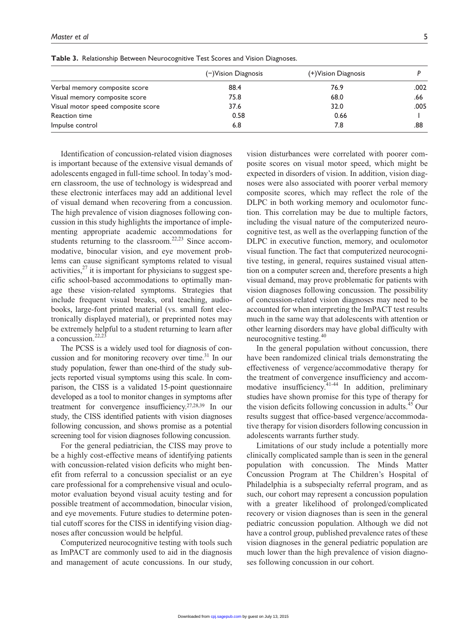| <b>Table 3.</b> Relationship Between Neurocognitive Test Scores and Vision Diagnoses. |                        |                      |      |
|---------------------------------------------------------------------------------------|------------------------|----------------------|------|
|                                                                                       | $(-)$ Vision Diagnosis | (+) Vision Diagnosis |      |
| Verbal memory composite score                                                         | 88.4                   | 76.9                 | .002 |
| Visual memory composite score                                                         | 75.8                   | 68.0                 | .66  |

Visual motor speed composite score  $37.6$  37.6  $32.0$  .005 Reaction time 0.58 0.66 1 Impulse control 5.8 .88 .88 .88 .88 .88 .88 .88 .88 .1.1 .1.1 .1.1 .1.1 .1.1 .1.1 .1.1 .1.1 .1.1 .1.1 .1.1 .1.

**Table 3.** Relationship Bet

Identification of concussion-related vision diagnoses is important because of the extensive visual demands of adolescents engaged in full-time school. In today's modern classroom, the use of technology is widespread and these electronic interfaces may add an additional level of visual demand when recovering from a concussion. The high prevalence of vision diagnoses following concussion in this study highlights the importance of implementing appropriate academic accommodations for students returning to the classroom.<sup>22,23</sup> Since accommodative, binocular vision, and eye movement problems can cause significant symptoms related to visual activities, $27$  it is important for physicians to suggest specific school-based accommodations to optimally manage these vision-related symptoms. Strategies that include frequent visual breaks, oral teaching, audiobooks, large-font printed material (vs. small font electronically displayed material), or preprinted notes may be extremely helpful to a student returning to learn after a concussion. $22,23$ 

The PCSS is a widely used tool for diagnosis of concussion and for monitoring recovery over time.<sup>31</sup> In our study population, fewer than one-third of the study subjects reported visual symptoms using this scale. In comparison, the CISS is a validated 15-point questionnaire developed as a tool to monitor changes in symptoms after treatment for convergence insufficiency.27,28,39 In our study, the CISS identified patients with vision diagnoses following concussion, and shows promise as a potential screening tool for vision diagnoses following concussion.

For the general pediatrician, the CISS may prove to be a highly cost-effective means of identifying patients with concussion-related vision deficits who might benefit from referral to a concussion specialist or an eye care professional for a comprehensive visual and oculomotor evaluation beyond visual acuity testing and for possible treatment of accommodation, binocular vision, and eye movements. Future studies to determine potential cutoff scores for the CISS in identifying vision diagnoses after concussion would be helpful.

Computerized neurocognitive testing with tools such as ImPACT are commonly used to aid in the diagnosis and management of acute concussions. In our study,

vision disturbances were correlated with poorer composite scores on visual motor speed, which might be expected in disorders of vision. In addition, vision diagnoses were also associated with poorer verbal memory composite scores, which may reflect the role of the DLPC in both working memory and oculomotor function. This correlation may be due to multiple factors, including the visual nature of the computerized neurocognitive test, as well as the overlapping function of the DLPC in executive function, memory, and oculomotor visual function. The fact that computerized neurocognitive testing, in general, requires sustained visual attention on a computer screen and, therefore presents a high visual demand, may prove problematic for patients with vision diagnoses following concussion. The possibility of concussion-related vision diagnoses may need to be accounted for when interpreting the ImPACT test results much in the same way that adolescents with attention or other learning disorders may have global difficulty with neurocognitive testing.<sup>40</sup>

In the general population without concussion, there have been randomized clinical trials demonstrating the effectiveness of vergence/accommodative therapy for the treatment of convergence insufficiency and accommodative insufficiency.<sup>41-44</sup> In addition, preliminary studies have shown promise for this type of therapy for the vision deficits following concussion in adults.<sup>45</sup> Our results suggest that office-based vergence/accommodative therapy for vision disorders following concussion in adolescents warrants further study.

Limitations of our study include a potentially more clinically complicated sample than is seen in the general population with concussion. The Minds Matter Concussion Program at The Children's Hospital of Philadelphia is a subspecialty referral program, and as such, our cohort may represent a concussion population with a greater likelihood of prolonged/complicated recovery or vision diagnoses than is seen in the general pediatric concussion population. Although we did not have a control group, published prevalence rates of these vision diagnoses in the general pediatric population are much lower than the high prevalence of vision diagnoses following concussion in our cohort.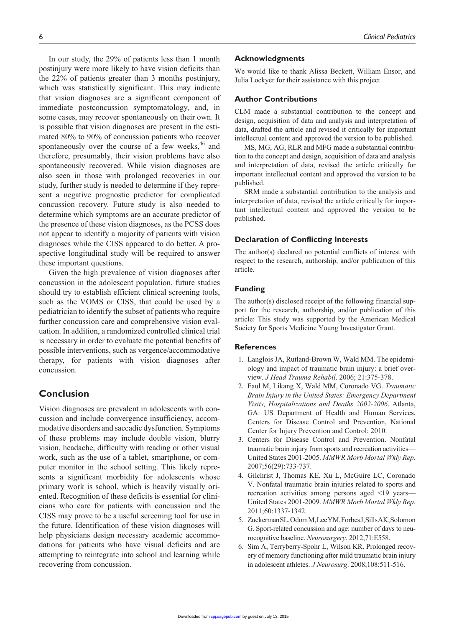In our study, the 29% of patients less than 1 month postinjury were more likely to have vision deficits than the 22% of patients greater than 3 months postinjury, which was statistically significant. This may indicate that vision diagnoses are a significant component of immediate postconcussion symptomatology, and, in some cases, may recover spontaneously on their own. It is possible that vision diagnoses are present in the estimated 80% to 90% of concussion patients who recover spontaneously over the course of a few weeks, $46$  and therefore, presumably, their vision problems have also spontaneously recovered. While vision diagnoses are also seen in those with prolonged recoveries in our study, further study is needed to determine if they represent a negative prognostic predictor for complicated concussion recovery. Future study is also needed to determine which symptoms are an accurate predictor of the presence of these vision diagnoses, as the PCSS does not appear to identify a majority of patients with vision diagnoses while the CISS appeared to do better. A prospective longitudinal study will be required to answer these important questions.

Given the high prevalence of vision diagnoses after concussion in the adolescent population, future studies should try to establish efficient clinical screening tools, such as the VOMS or CISS, that could be used by a pediatrician to identify the subset of patients who require further concussion care and comprehensive vision evaluation. In addition, a randomized controlled clinical trial is necessary in order to evaluate the potential benefits of possible interventions, such as vergence/accommodative therapy, for patients with vision diagnoses after concussion.

# **Conclusion**

Vision diagnoses are prevalent in adolescents with concussion and include convergence insufficiency, accommodative disorders and saccadic dysfunction. Symptoms of these problems may include double vision, blurry vision, headache, difficulty with reading or other visual work, such as the use of a tablet, smartphone, or computer monitor in the school setting. This likely represents a significant morbidity for adolescents whose primary work is school, which is heavily visually oriented. Recognition of these deficits is essential for clinicians who care for patients with concussion and the CISS may prove to be a useful screening tool for use in the future. Identification of these vision diagnoses will help physicians design necessary academic accommodations for patients who have visual deficits and are attempting to reintegrate into school and learning while recovering from concussion.

#### **Acknowledgments**

We would like to thank Alissa Beckett, William Ensor, and Julia Lockyer for their assistance with this project.

#### **Author Contributions**

CLM made a substantial contribution to the concept and design, acquisition of data and analysis and interpretation of data, drafted the article and revised it critically for important intellectual content and approved the version to be published.

MS, MG, AG, RLR and MFG made a substantial contribution to the concept and design, acquisition of data and analysis and interpretation of data, revised the article critically for important intellectual content and approved the version to be published.

SRM made a substantial contribution to the analysis and interpretation of data, revised the article critically for important intellectual content and approved the version to be published.

#### **Declaration of Conflicting Interests**

The author(s) declared no potential conflicts of interest with respect to the research, authorship, and/or publication of this article.

## **Funding**

The author(s) disclosed receipt of the following financial support for the research, authorship, and/or publication of this article: This study was supported by the American Medical Society for Sports Medicine Young Investigator Grant.

## **References**

- 1. Langlois JA, Rutland-Brown W, Wald MM. The epidemiology and impact of traumatic brain injury: a brief overview. *J Head Trauma Rehabil*. 2006; 21:375-378.
- 2. Faul M, Likang X, Wald MM, Coronado VG. *Traumatic Brain Injury in the United States: Emergency Department Visits, Hospitalizations and Deaths 2002-2006*. Atlanta, GA: US Department of Health and Human Services, Centers for Disease Control and Prevention, National Center for Injury Prevention and Control; 2010.
- 3. Centers for Disease Control and Prevention. Nonfatal traumatic brain injury from sports and recreation activities— United States 2001-2005. *MMWR Morb Mortal Wkly Rep*. 2007;56(29):733-737.
- 4. Gilchrist J, Thomas KE, Xu L, McGuire LC, Coronado V. Nonfatal traumatic brain injuries related to sports and recreation activities among persons aged <19 years— United States 2001-2009. *MMWR Morb Mortal Wkly Rep*. 2011;60:1337-1342.
- 5. Zuckerman SL, Odom M, Lee YM, Forbes J, Sills AK, Solomon G. Sport-related concussion and age: number of days to neurocognitive baseline. *Neurosurgery*. 2012;71:E558.
- 6. Sim A, Terryberry-Spohr L, Wilson KR. Prolonged recovery of memory functioning after mild traumatic brain injury in adolescent athletes. *J Neurosurg*. 2008;108:511-516.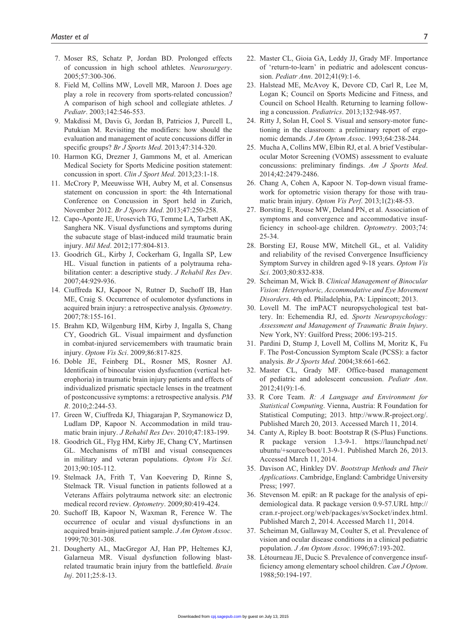- 7. Moser RS, Schatz P, Jordan BD. Prolonged effects of concussion in high school athletes. *Neurosurgery*. 2005;57:300-306.
- 8. Field M, Collins MW, Lovell MR, Maroon J. Does age play a role in recovery from sports-related concussion? A comparison of high school and collegiate athletes. *J Pediatr*. 2003;142:546-553.
- 9. Makdissi M, Davis G, Jordan B, Patricios J, Purcell L, Putukian M. Revisiting the modifiers: how should the evaluation and management of acute concussions differ in specific groups? *Br J Sports Med*. 2013;47:314-320.
- 10. Harmon KG, Drezner J, Gammons M, et al. American Medical Society for Sports Medicine position statement: concussion in sport. *Clin J Sport Med*. 2013;23:1-18.
- 11. McCrory P, Meeuwisse WH, Aubry M, et al. Consensus statement on concussion in sport: the 4th International Conference on Concussion in Sport held in Zurich, November 2012. *Br J Sports Med*. 2013;47:250-258.
- 12. Capo-Aponte JE, Urosevich TG, Temme LA, Tarbett AK, Sanghera NK. Visual dysfunctions and symptoms during the subacute stage of blast-induced mild traumatic brain injury. *Mil Med*. 2012;177:804-813.
- 13. Goodrich GL, Kirby J, Cockerham G, Ingalla SP, Lew HL. Visual function in patients of a polytrauma rehabilitation center: a descriptive study. *J Rehabil Res Dev*. 2007;44:929-936.
- 14. Ciuffreda KJ, Kapoor N, Rutner D, Suchoff IB, Han ME, Craig S. Occurrence of oculomotor dysfunctions in acquired brain injury: a retrospective analysis. *Optometry*. 2007;78:155-161.
- 15. Brahm KD, Wilgenburg HM, Kirby J, Ingalla S, Chang CY, Goodrich GL. Visual impairment and dysfunction in combat-injured servicemembers with traumatic brain injury. *Optom Vis Sci*. 2009;86:817-825.
- 16. Doble JE, Feinberg DL, Rosner MS, Rosner AJ. Identificain of binocular vision dysfucntion (vertical heterophoria) in traumatic brain injury patients and effects of individualized prismatic spectacle lenses in the treatment of postconcussive symptoms: a retrospective analysis. *PM R*. 2010;2:244-53.
- 17. Green W, Ciuffreda KJ, Thiagarajan P, Szymanowicz D, Ludlam DP, Kapoor N. Accommodation in mild traumatic brain injury. *J Rehabil Res Dev*. 2010;47:183-199.
- 18. Goodrich GL, Flyg HM, Kirby JE, Chang CY, Martinsen GL. Mechanisms of mTBI and visual consequences in military and veteran populations. *Optom Vis Sci*. 2013;90:105-112.
- 19. Stelmack JA, Frith T, Van Koevering D, Rinne S, Stelmack TR. Visual function in patients followed at a Veterans Affairs polytrauma network site: an electronic medical record review. *Optometry*. 2009;80:419-424.
- 20. Suchoff IB, Kapoor N, Waxman R, Ference W. The occurrence of ocular and visual dysfunctions in an acquired brain-injured patient sample. *J Am Optom Assoc*. 1999;70:301-308.
- 21. Dougherty AL, MacGregor AJ, Han PP, Heltemes KJ, Galarneua MR. Visual dysfunction following blastrelated traumatic brain injury from the battlefield. *Brain Inj*. 2011;25:8-13.
- 22. Master CL, Gioia GA, Leddy JJ, Grady MF. Importance of 'return-to-learn' in pediatric and adolescent concussion. *Pediatr Ann*. 2012;41(9):1-6.
- 23. Halstead ME, McAvoy K, Devore CD, Carl R, Lee M, Logan K; Council on Sports Medicine and Fitness, and Council on School Health. Returning to learning following a concussion. *Pediatrics*. 2013;132:948-957.
- 24. Ritty J, Solan H, Cool S. Visual and sensory-motor functioning in the classroom: a preliminary report of ergonomic demands. *J Am Optom Assoc*. 1993;64:238-244.
- 25. Mucha A, Collins MW, Elbin RJ, et al. A brief Vestibularocular Motor Screening (VOMS) assessment to evaluate concussions: preliminary findings. *Am J Sports Med*. 2014;42:2479-2486.
- 26. Chang A, Cohen A, Kapoor N. Top-down visual framework for optometric vision therapy for those with traumatic brain injury. *Optom Vis Perf*. 2013;1(2):48-53.
- 27. Borsting E, Rouse MW, Deland PN, et al. Association of symptoms and convergence and accommodative insufficiency in school-age children. *Optometry*. 2003;74: 25-34.
- 28. Borsting EJ, Rouse MW, Mitchell GL, et al. Validity and reliability of the revised Convergence Insufficiency Symptom Survey in children aged 9-18 years. *Optom Vis Sci*. 2003;80:832-838.
- 29. Scheiman M, Wick B. *Clinical Management of Binocular Vision: Heterophoric, Accommodative and Eye Movement Disorders*. 4th ed. Philadelphia, PA: Lippincott; 2013.
- 30. Lovell M. The imPACT neuropsychological test battery. In: Echemendia RJ, ed. *Sports Neuropsychology: Assessment and Management of Traumatic Brain Injury*. New York, NY: Guilford Press; 2006:193-215.
- 31. Pardini D, Stump J, Lovell M, Collins M, Moritz K, Fu F. The Post-Concussion Symptom Scale (PCSS): a factor analysis. *Br J Sports Med*. 2004;38:661-662.
- 32. Master CL, Grady MF. Office-based management of pediatric and adolescent concussion. *Pediatr Ann*. 2012;41(9):1-6.
- 33. R Core Team. *R: A Language and Environment for Statistical Computing*. Vienna, Austria: R Foundation for Statistical Computing; 2013. [http://www.R-project.org/.](http://www.R-project.org/) Published March 20, 2013. Accessed March 11, 2014.
- 34. Canty A, Ripley B. boot: Bootstrap R (S-Plus) Functions. R package version 1.3-9-1. [https://launchpad.net/](https://launchpad.net/ubuntu/+source/boot/1.3-9-1) [ubuntu/+source/boot/1.3-9-1.](https://launchpad.net/ubuntu/+source/boot/1.3-9-1) Published March 26, 2013. Accessed March 11, 2014.
- 35. Davison AC, Hinkley DV. *Bootstrap Methods and Their Applications*. Cambridge, England: Cambridge University Press; 1997.
- 36. Stevenson M. epiR: an R package for the analysis of epidemiological data. R package version 0.9-57.URL [http://](http://cran.r-project.org/web/packages/svSocket/index.html) [cran.r-project.org/web/packages/svSocket/index.html.](http://cran.r-project.org/web/packages/svSocket/index.html) Published March 2, 2014. Accessed March 11, 2014.
- 37. Scheiman M, Gallaway M, Coulter S, et al. Prevalence of vision and ocular disease conditions in a clinical pediatric population. *J Am Optom Assoc*. 1996;67:193-202.
- 38. Létourneau JE, Ducic S. Prevalence of convergence insufficiency among elementary school children. *Can J Optom*. 1988;50:194-197.